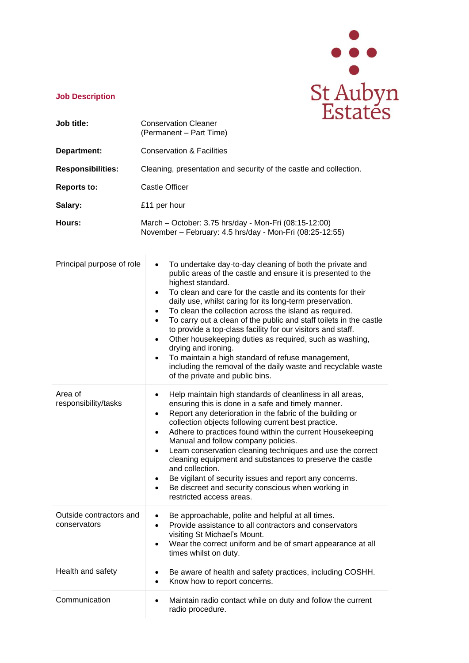

## **Job Description**

| Job title:                              | LDLALLD<br><b>Conservation Cleaner</b>                                                                                                                                                                                                                                                                                                                                                                                                                                                                                                                                                                                                                                                                                                                                                           |
|-----------------------------------------|--------------------------------------------------------------------------------------------------------------------------------------------------------------------------------------------------------------------------------------------------------------------------------------------------------------------------------------------------------------------------------------------------------------------------------------------------------------------------------------------------------------------------------------------------------------------------------------------------------------------------------------------------------------------------------------------------------------------------------------------------------------------------------------------------|
|                                         | (Permanent - Part Time)                                                                                                                                                                                                                                                                                                                                                                                                                                                                                                                                                                                                                                                                                                                                                                          |
| Department:                             | <b>Conservation &amp; Facilities</b>                                                                                                                                                                                                                                                                                                                                                                                                                                                                                                                                                                                                                                                                                                                                                             |
| <b>Responsibilities:</b>                | Cleaning, presentation and security of the castle and collection.                                                                                                                                                                                                                                                                                                                                                                                                                                                                                                                                                                                                                                                                                                                                |
| <b>Reports to:</b>                      | <b>Castle Officer</b>                                                                                                                                                                                                                                                                                                                                                                                                                                                                                                                                                                                                                                                                                                                                                                            |
| Salary:                                 | £11 per hour                                                                                                                                                                                                                                                                                                                                                                                                                                                                                                                                                                                                                                                                                                                                                                                     |
| Hours:                                  | March - October: 3.75 hrs/day - Mon-Fri (08:15-12:00)<br>November - February: 4.5 hrs/day - Mon-Fri (08:25-12:55)                                                                                                                                                                                                                                                                                                                                                                                                                                                                                                                                                                                                                                                                                |
| Principal purpose of role               | To undertake day-to-day cleaning of both the private and<br>$\bullet$<br>public areas of the castle and ensure it is presented to the<br>highest standard.<br>To clean and care for the castle and its contents for their<br>$\bullet$<br>daily use, whilst caring for its long-term preservation.<br>To clean the collection across the island as required.<br>$\bullet$<br>To carry out a clean of the public and staff toilets in the castle<br>$\bullet$<br>to provide a top-class facility for our visitors and staff.<br>Other housekeeping duties as required, such as washing,<br>$\bullet$<br>drying and ironing.<br>To maintain a high standard of refuse management,<br>$\bullet$<br>including the removal of the daily waste and recyclable waste<br>of the private and public bins. |
| Area of<br>responsibility/tasks         | Help maintain high standards of cleanliness in all areas,<br>$\bullet$<br>ensuring this is done in a safe and timely manner.<br>Report any deterioration in the fabric of the building or<br>$\bullet$<br>collection objects following current best practice.<br>Adhere to practices found within the current Housekeeping<br>$\bullet$<br>Manual and follow company policies.<br>Learn conservation cleaning techniques and use the correct<br>cleaning equipment and substances to preserve the castle<br>and collection.<br>Be vigilant of security issues and report any concerns.<br>Be discreet and security conscious when working in<br>$\bullet$<br>restricted access areas.                                                                                                            |
| Outside contractors and<br>conservators | Be approachable, polite and helpful at all times.<br>$\bullet$<br>Provide assistance to all contractors and conservators<br>٠<br>visiting St Michael's Mount.<br>Wear the correct uniform and be of smart appearance at all<br>times whilst on duty.                                                                                                                                                                                                                                                                                                                                                                                                                                                                                                                                             |
| Health and safety                       | Be aware of health and safety practices, including COSHH.<br>Know how to report concerns.<br>$\bullet$                                                                                                                                                                                                                                                                                                                                                                                                                                                                                                                                                                                                                                                                                           |
| Communication                           | Maintain radio contact while on duty and follow the current<br>٠<br>radio procedure.                                                                                                                                                                                                                                                                                                                                                                                                                                                                                                                                                                                                                                                                                                             |